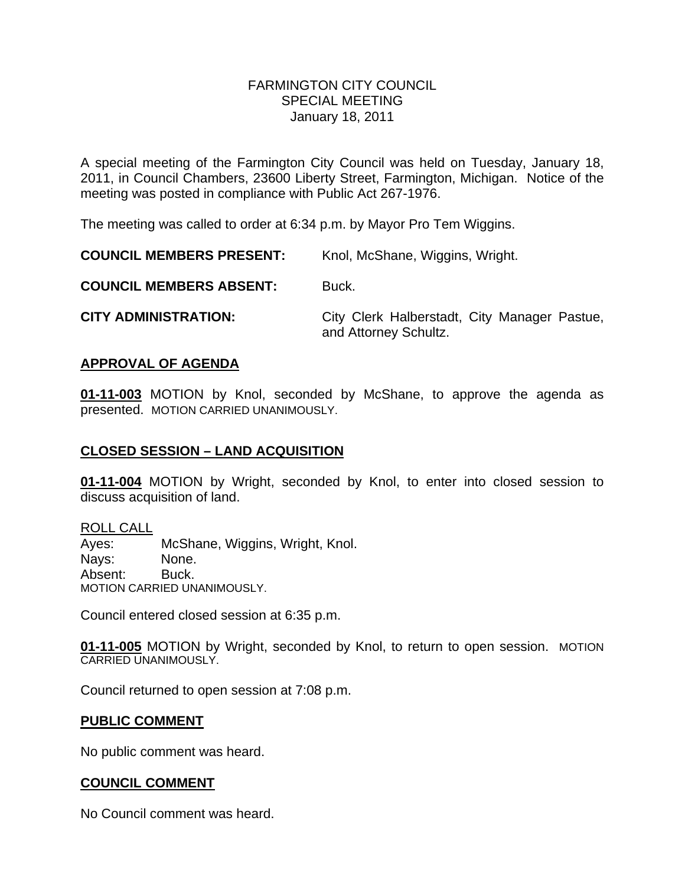#### FARMINGTON CITY COUNCILSPECIAL MEETING January 18, 2011

A special meeting of the Farmington City Council was held on Tuesday, January 18, 2011, in Council Chambers, 23600 Liberty Street, Farmington, Michigan. Notice of the meeting was posted in compliance with Public Act 267-1976.

The meeting was called to order at 6:34 p.m. by Mayor Pro Tem Wiggins.

**COUNCIL MEMBERS PRESENT:** Knol, McShane, Wiggins, Wright.

**COUNCIL MEMBERS ABSENT:** Buck.

**CITY ADMINISTRATION:** City Clerk Halberstadt, City Manager Pastue, and Attorney Schultz.

## **APPROVAL OF AGENDA**

**01-11-003** MOTION by Knol, seconded by McShane, to approve the agenda as presented. MOTION CARRIED UNANIMOUSLY.

# **CLOSED SESSION – LAND ACQUISITION**

**01-11-004** MOTION by Wright, seconded by Knol, to enter into closed session to discuss acquisition of land.

ROLL CALL Ayes: McShane, Wiggins, Wright, Knol. Nays: None. Absent: Buck. MOTION CARRIED UNANIMOUSLY.

Council entered closed session at 6:35 p.m.

**01-11-005** MOTION by Wright, seconded by Knol, to return to open session. MOTION CARRIED UNANIMOUSLY.

Council returned to open session at 7:08 p.m.

### **PUBLIC COMMENT**

No public comment was heard.

# **COUNCIL COMMENT**

No Council comment was heard.